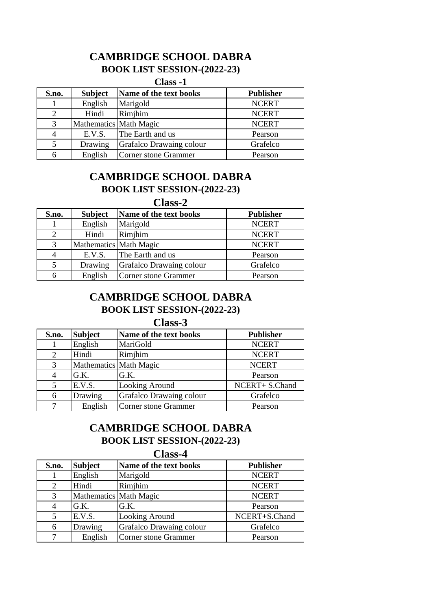## **CAMBRIDGE SCHOOL DABRA**

### **BOOK LIST SESSION-(2022-23)**

**Class -1**

| S.no. | <b>Subject</b>         | Name of the text books   | <b>Publisher</b> |
|-------|------------------------|--------------------------|------------------|
|       | English                | Marigold                 | <b>NCERT</b>     |
|       | Hindi                  | Rimjhim                  | <b>NCERT</b>     |
| 3     | Mathematics Math Magic |                          | <b>NCERT</b>     |
|       | E.V.S.                 | The Earth and us         | Pearson          |
|       | Drawing                | Grafalco Drawaing colour | Grafelco         |
|       | English                | Corner stone Grammer     | Pearson          |

## **BOOK LIST SESSION-(2022-23) CAMBRIDGE SCHOOL DABRA**

### **Class-2**

| S.no. | <b>Subject</b>         | Name of the text books   | <b>Publisher</b> |
|-------|------------------------|--------------------------|------------------|
|       | English                | Marigold                 | <b>NCERT</b>     |
|       | Hindi                  | Rimjhim                  | <b>NCERT</b>     |
| 3     | Mathematics Math Magic |                          | <b>NCERT</b>     |
|       | E.V.S.                 | The Earth and us         | Pearson          |
|       | Drawing                | Grafalco Drawaing colour | Grafelco         |
|       | English                | Corner stone Grammer     | Pearson          |

# **CAMBRIDGE SCHOOL DABRA**

**BOOK LIST SESSION-(2022-23)**

**Class-3**

| S.no. | <b>Subject</b>         | Name of the text books   | <b>Publisher</b> |
|-------|------------------------|--------------------------|------------------|
|       | English                | MariGold                 | <b>NCERT</b>     |
| 2     | Hindi                  | Rimjhim                  | <b>NCERT</b>     |
| 3     | Mathematics Math Magic |                          | <b>NCERT</b>     |
|       | G.K.                   | G.K.                     | Pearson          |
|       | E.V.S.                 | Looking Around           | NCERT+ S.Chand   |
| 6     | Drawing                | Grafalco Drawaing colour | Grafelco         |
|       | English                | Corner stone Grammer     | Pearson          |

### **CAMBRIDGE SCHOOL DABRA BOOK LIST SESSION-(2022-23)**

### **Class-4**

| S.no.          | <b>Subject</b>         | Name of the text books   | <b>Publisher</b> |
|----------------|------------------------|--------------------------|------------------|
|                | English                | Marigold                 | <b>NCERT</b>     |
| 2              | Hindi                  | Rimjhim                  | <b>NCERT</b>     |
| 3              | Mathematics Math Magic |                          | <b>NCERT</b>     |
| $\overline{4}$ | G.K.                   | G.K.                     | Pearson          |
| 5              | E.V.S.                 | Looking Around           | NCERT+S.Chand    |
| 6              | Drawing                | Grafalco Drawaing colour | Grafelco         |
|                | English                | Corner stone Grammer     | Pearson          |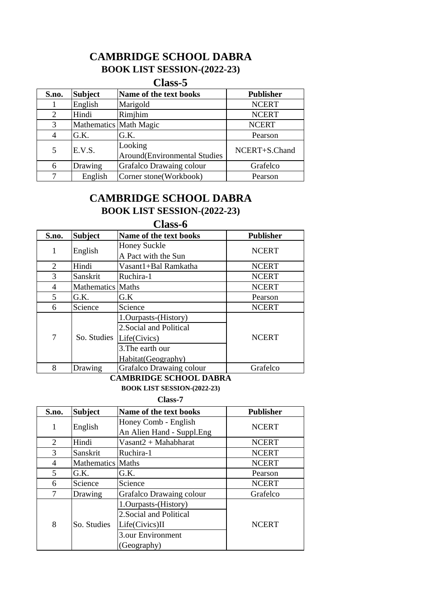# **CAMBRIDGE SCHOOL DABRA**

## **BOOK LIST SESSION-(2022-23)**

### **Class-5**

| S.no. | <b>Subject</b>         | Name of the text books                  | <b>Publisher</b> |
|-------|------------------------|-----------------------------------------|------------------|
|       | English                | Marigold                                | <b>NCERT</b>     |
| 2     | Hindi                  | Rimjhim                                 | <b>NCERT</b>     |
| 3     | Mathematics Math Magic |                                         | <b>NCERT</b>     |
|       | G.K.                   | G.K.                                    | Pearson          |
| 5     | E.V.S.                 | Looking<br>Around(Environmental Studies | NCERT+S.Chand    |
| 6     | Drawing                | Grafalco Drawaing colour                | Grafelco         |
|       | English                | Corner stone(Workbook)                  | Pearson          |

## **BOOK LIST SESSION-(2022-23) CAMBRIDGE SCHOOL DABRA**

**Class-6**

| S.no.                       | <b>Subject</b>           | Name of the text books                                                                                     | <b>Publisher</b> |
|-----------------------------|--------------------------|------------------------------------------------------------------------------------------------------------|------------------|
| 1                           | English                  | <b>Honey Suckle</b><br>A Pact with the Sun                                                                 | <b>NCERT</b>     |
| $\mathcal{D}_{\mathcal{L}}$ | Hindi                    | Vasant1+Bal Ramkatha                                                                                       | <b>NCERT</b>     |
| 3                           | Sanskrit                 | Ruchira-1                                                                                                  | <b>NCERT</b>     |
| 4                           | <b>Mathematics</b> Maths |                                                                                                            | <b>NCERT</b>     |
| $\overline{\mathcal{L}}$    | G.K.                     | G.K                                                                                                        | Pearson          |
| 6                           | Science                  | Science                                                                                                    | <b>NCERT</b>     |
| 7                           | So. Studies              | 1. Ourpasts-(History)<br>2. Social and Political<br>Life(Civics)<br>3. The earth our<br>Habitat(Geography) | <b>NCERT</b>     |
| 8                           | Drawing                  | Grafalco Drawaing colour                                                                                   | Grafelco         |

#### **CAMBRIDGE SCHOOL DABRA**

**BOOK LIST SESSION-(2022-23)**

#### **Class-7**

| S.no.                       | <b>Subject</b>           | Name of the text books                                               | <b>Publisher</b> |
|-----------------------------|--------------------------|----------------------------------------------------------------------|------------------|
| 1                           | English                  | Honey Comb - English<br>An Alien Hand - Suppl.Eng                    | <b>NCERT</b>     |
| $\mathcal{D}_{\mathcal{L}}$ | Hindi                    | $Vasant2 + Mahabharat$                                               | <b>NCERT</b>     |
| 3                           | Sanskrit                 | Ruchira-1                                                            | <b>NCERT</b>     |
| 4                           | <b>Mathematics</b> Maths |                                                                      | <b>NCERT</b>     |
| 5                           | G.K.                     | G.K.                                                                 | Pearson          |
| 6                           | Science                  | Science                                                              | <b>NCERT</b>     |
|                             | Drawing                  | Grafalco Drawaing colour                                             | Grafelco         |
| 8                           | So. Studies              | 1.Ourpasts-(History)<br>2. Social and Political<br>$Life(Civics)$ II | <b>NCERT</b>     |
|                             |                          | 3.our Environment<br>(Geography)                                     |                  |